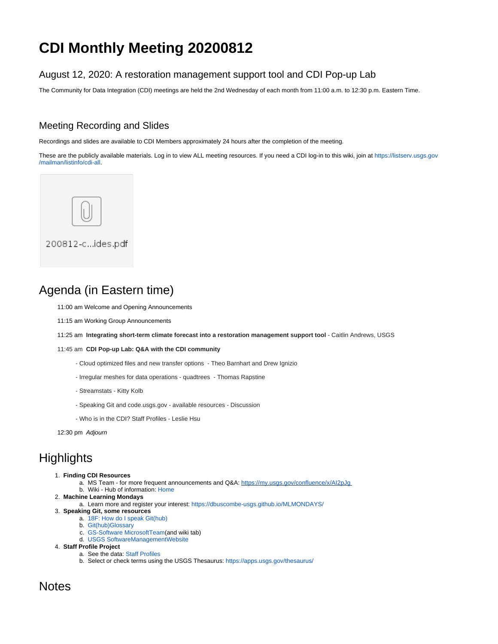# <span id="page-0-0"></span>**CDI Monthly Meeting 20200812**

### August 12, 2020: A restoration management support tool and CDI Pop-up Lab

The Community for Data Integration (CDI) meetings are held the 2nd Wednesday of each month from 11:00 a.m. to 12:30 p.m. Eastern Time.

### Meeting Recording and Slides

Recordings and slides are available to CDI Members approximately 24 hours after the completion of the meeting.

These are the publicly available materials. Log in to view ALL meeting resources. If you need a CDI log-in to this wiki, join at [https://listserv.usgs.gov](https://listserv.usgs.gov/mailman/listinfo/cdi-all) [/mailman/listinfo/cdi-all](https://listserv.usgs.gov/mailman/listinfo/cdi-all).



## Agenda (in Eastern time)

11:00 am Welcome and Opening Announcements

- 11:15 am Working Group Announcements
- 11:25 am **Integrating short-term climate forecast into a restoration management support tool**  Caitlin Andrews, USGS

#### 11:45 am **CDI Pop-up Lab: Q&A with the CDI community**

- Cloud optimized files and new transfer options Theo Barnhart and Drew Ignizio
- Irregular meshes for data operations quadtrees Thomas Rapstine
- Streamstats Kitty Kolb
- Speaking Git and code.usgs.gov available resources Discussion
- Who is in the CDI? Staff Profiles Leslie Hsu

12:30 pm Adjourn

## **Highlights**

- 1. **Finding CDI Resources**
	- a. MS Team for more frequent announcements and Q&A: <https://my.usgs.gov/confluence/x/AI2pJg>
	- b. Wiki Hub of information: [Home](https://my.usgs.gov/confluence/display/cdi/Home)
- 2. **Machine Learning Mondays** 
	- a. Learn more and register your interest: <https://dbuscombe-usgs.github.io/MLMONDAYS/>
- 3. **Speaking Git, some resources**
	- a. [18F: How do I speak Git\(hub\)](https://digital.gov/resources/an-introduction-github/?dg)
	- b. [Git\(hub\)Glossary](https://docs.github.com/en/github/getting-started-with-github/github-glossary)
	- c. [GS-Software MicrosoftTeam\(](https://teams.microsoft.com/l/team/19%3ab34ccbb114b545faafb03ef7af656fff%40thread.skype/conversations?groupId=01927172-3614-4d93-9cbe-6e7c31ad371e&tenantId=0693b5ba-4b18-4d7b-9341-f32f400a5494)and wiki tab) d. [USGS SoftwareManagementWebsite](https://www.usgs.gov/products/software/software-management)
- 4. **Staff Profile Project**
	- - a. See the data: [Staff Profiles](https://my.usgs.gov/confluence/display/cdi/Staff+Profiles) b. Select or check terms using the USGS Thesaurus: <https://apps.usgs.gov/thesaurus/>

### **Notes**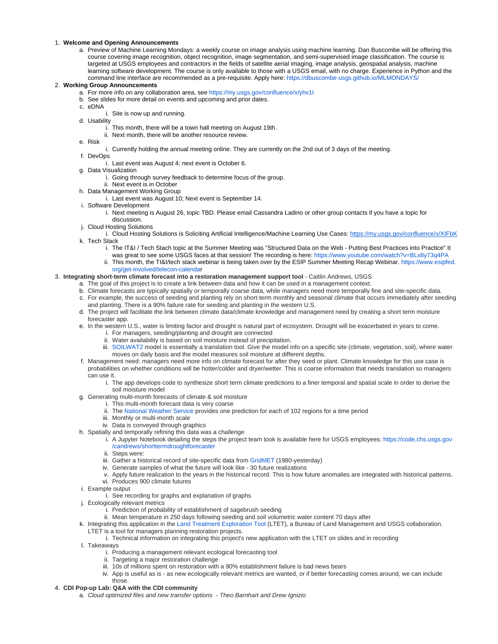#### 1. **Welcome and Opening Announcements**

a. Preview of Machine Learning Mondays: a weekly course on image analysis using machine learning. Dan Buscombe will be offering this course covering image recognition, object recognition, image segmentation, and semi-supervised image classification. The course is targeted at USGS employees and contractors in the fields of satellite aerial imaging, image analysis, geospatial analysis, machine learning software development. The course is only available to those with a USGS email, with no charge. Experience in Python and the command line interface are recommended as a pre-requisite. Apply here: <https://dbuscombe-usgs.github.io/MLMONDAYS/>

#### 2. **Working Group Announcements**

- a. For more info on any collaboration area, see<https://my.usgs.gov/confluence/x/yhv1I>
- b. See slides for more detail on events and upcoming and prior dates.
- c. eDNA
	- i. Site is now up and running.
- d. Usability
	- i. This month, there will be a town hall meeting on August 19th.
	- ii. Next month, there will be another resource review.
- e. Risk
- i. Currently holding the annual meeting online. They are currently on the 2nd out of 3 days of the meeting.
- f. DevOps
	- i. Last event was August 4; next event is October 6.
- g. Data Visualization
	- i. Going through survey feedback to determine focus of the group.
	- ii. Next event is in October
- h. Data Management Working Group
	- i. Last event was August 10; Next event is September 14.
- i. Software Development
	- i. Next meeting is August 26, topic TBD. Please email Cassandra Ladino or other group contacts if you have a topic for discussion.
- j. Cloud Hosting Solutions
- i. Cloud Hosting Solutions is Soliciting Artificial Intelligence/Machine Learning Use Cases: <https://my.usgs.gov/confluence/x/XIFbK> k. Tech Stack
	- i. The IT&I / Tech Stach topic at the Summer Meeting was "Structured Data on the Web Putting Best Practices into Practice" It was great to see some USGS faces at that session! The recording is here:<https://www.youtube.com/watch?v=BLx8y73q4PA>
	- ii. This month, the TI&I/tech stack webinar is being taken over by the ESIP Summer Meeting Recap Webinar. [https://www.esipfed.](https://www.esipfed.org/get-involved/telecon-calendar) [org/get-involved/telecon-calenda](https://www.esipfed.org/get-involved/telecon-calendar)r

#### 3. **Integrating short-term climate forecast into a restoration management support tool** - Caitlin Andrews, USGS

- a. The goal of this project is to create a link between data and how it can be used in a management context.
- b. Climate forecasts are typically spatially or temporally coarse data, while managers need more temporally fine and site-specific data.
- c. For example, the success of seeding and planting rely on short-term monthly and seasonal climate that occurs immediately after seeding and planting. There is a 90% failure rate for seeding and planting in the western U.S.
- d. The project will facilitate the link between climate data/climate knowledge and management need by creating a short term moisture forecaster app.
- e. In the western U.S., water is limiting factor and drought is natural part of ecosystem. Drought will be exacerbated in years to come.
	- i. For managers, seeding/planting and drought are connected
	- ii. Water availability is based on soil moisture instead of precipitation.
	- iii. [SOILWAT2](https://github.com/DrylandEcology/rSOILWAT2) model is essentially a translation tool. Give the model info on a specific site (climate, vegetation, soil), where water moves on daily basis and the model measures soil moisture at different depths.
- f. Management need: managers need more info on climate forecast for after they seed or plant. Climate knowledge for this use case is probabilities on whether conditions will be hotter/colder and dryer/wetter. This is coarse information that needs translation so managers
	- can use it.
		- i. The app develops code to synthesize short term climate predictions to a finer temporal and spatial scale in order to derive the soil moisture model
- g. Generating multi-month forecasts of climate & soil moisture
	- i. This multi-month forecast data is very coarse
		- ii. The [National Weather Service](https://www.cpc.ncep.noaa.gov/products/predictions/long_range/seasonal.php?lead=1) provides one prediction for each of 102 regions for a time period
		- iii. Monthly or multi-month scale
		- iv. Data is conveyed through graphics
- h. Spatially and temporally refining this data was a challenge
	- i. A Jupyter Notebook detailing the steps the project team took is available here for USGS employees: [https://code.chs.usgs.gov](https://code.chs.usgs.gov/candrews/shorttermdroughtforecaster) [/candrews/shorttermdroughtforecaster](https://code.chs.usgs.gov/candrews/shorttermdroughtforecaster)
	- ii. Steps were:
	- iii. Gather a historical record of site-specific data from [GridMET](http://www.climatologylab.org/gridmet.html) (1980-yesterday)
	- iv. Generate samples of what the future will look like 30 future realizations
	- v. Apply future realization to the years in the historical record. This is how future anomalies are integrated with historical patterns.
	- vi. Produces 900 climate futures
- i. Example output
	- i. See recording for graphs and explanation of graphs
- j. Ecologically relevant metrics
	- i. Prediction of probability of establishment of sagebrush seeding
	- ii. Mean temperature in 250 days following seeding and soil volumetric water content 70 days after
- k. Integrating this application in the [Land Treatment Exploration Tool](https://www.usgs.gov/centers/fresc/science/land-treatment-exploration-tool) (LTET), a Bureau of Land Management and USGS collaboration. LTET is a tool for managers planning restoration projects.
	- i. Technical information on integrating this project's new application with the LTET on slides and in recording
- l. Takeaways
	- i. Producing a management relevant ecological forecasting tool
	- ii. Targeting a major restoration challenge
	- iii. 10s of millions spent on restoration with a 90% establishment failure is bad news bears
	- iv. App is useful as is as new ecologically relevant metrics are wanted, or if better forecasting comes around, we can include those.
- 4. **CDI Pop-up Lab: Q&A with the CDI community**
	- a. Cloud optimized files and new transfer options Theo Barnhart and Drew Ignizio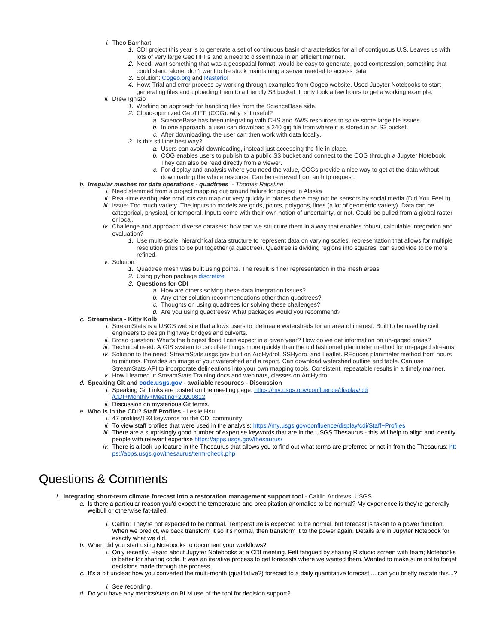- i. Theo Barnhart
	- 1. CDI project this year is to generate a set of continuous basin characteristics for all of contiguous U.S. Leaves us with lots of very large GeoTIFFs and a need to disseminate in an efficient manner.
	- 2. Need: want something that was a geospatial format, would be easy to generate, good compression, something that could stand alone, don't want to be stuck maintaining a server needed to access data.
	- 3. Solution: [Cogeo.org](https://www.cogeo.org/) and [Rasterio!](https://rasterio.readthedocs.io/)
	- 4. How: Trial and error process by working through examples from Cogeo website. Used Jupyter Notebooks to start
		- generating files and uploading them to a friendly S3 bucket. It only took a few hours to get a working example.

ii. Drew Ignizio

- 1. Working on approach for handling files from the ScienceBase side.
- 2. Cloud-optimized GeoTIFF (COG): why is it useful?
	- a. ScienceBase has been integrating with CHS and AWS resources to solve some large file issues.
	- b. In one approach, a user can download a 240 gig file from where it is stored in an S3 bucket.
	- c. After downloading, the user can then work with data locally.
- 3. Is this still the best way?
	- a. Users can avoid downloading, instead just accessing the file in place.
	- b. COG enables users to publish to a public S3 bucket and connect to the COG through a Jupyter Notebook. They can also be read directly from a viewer.
	- c. For display and analysis where you need the value, COGs provide a nice way to get at the data without
- b. **Irregular meshes for data operations quadtrees** Thomas Rapstine downloading the whole resource. Can be retrieved from an http request.
	- i. Need stemmed from a project mapping out ground failure for project in Alaska
		- ii. Real-time earthquake products can map out very quickly in places there may not be sensors by social media (Did You Feel It). iii. Issue: Too much variety. The inputs to models are grids, points, polygons, lines (a lot of geometric variety). Data can be
		- categorical, physical, or temporal. Inputs come with their own notion of uncertainty, or not. Could be pulled from a global raster or local.
		- iv. Challenge and approach: diverse datasets: how can we structure them in a way that enables robust, calculable integration and evaluation?
			- 1. Use multi-scale, hierarchical data structure to represent data on varying scales; representation that allows for multiple resolution grids to be put together (a quadtree). Quadtree is dividing regions into squares, can subdivide to be more refined.
		- v. Solution:
			- 1. Quadtree mesh was built using points. The result is finer representation in the mesh areas.
			- 2. Using python package [discretize](https://pypi.org/project/discretize/)
			- 3. **Questions for CDI**
				- a. How are others solving these data integration issues?
					- b. Any other solution recommendations other than quadtrees?
					- c. Thoughts on using quadtrees for solving these challenges?
					- d. Are you using quadtrees? What packages would you recommend?
- c. **Streamstats Kitty Kolb**
	- i. StreamStats is a USGS website that allows users to delineate watersheds for an area of interest. Built to be used by civil engineers to design highway bridges and culverts.
	- ii. Broad question: What's the biggest flood I can expect in a given year? How do we get information on un-gaged areas?
	- iii. Technical need: A GIS system to calculate things more quickly than the old fashioned planimeter method for un-gaged streams.
	- iv. Solution to the need: StreamStats.usgs.gov built on ArcHydrol, SSHydro, and Leaflet. REduces planimeter method from hours v. How I learned it: StreamStats Training docs and webinars, classes on ArcHydro to minutes. Provides an image of your watershed and a report. Can download watershed outline and table. Can use StreamStats API to incorporate delineations into your own mapping tools. Consistent, repeatable results in a timely manner.

### d. **Speaking Git and [code.usgs.gov](http://code.usgs.gov) - available resources - Discussion**

- i. Speaking Git Links are posted on the meeting page: [https://my.usgs.gov/confluence/display/cdi](#page-0-0) [/CDI+Monthly+Meeting+20200812](#page-0-0)
- ii. Discussion on mysterious Git terms.
- e. **Who is in the CDI? Staff Profiles** Leslie Hsu
	- i. 47 profiles/193 keywords for the CDI community
	- ii. To view staff profiles that were used in the analysis:<https://my.usgs.gov/confluence/display/cdi/Staff+Profiles>
	- iii. There are a surprisingly good number of expertise keywords that are in the USGS Thesaurus this will help to align and identify people with relevant expertise<https://apps.usgs.gov/thesaurus/>
	- iv. There is a look-up feature in the Thesaurus that allows you to find out what terms are preferred or not in from the Thesaurus: [htt](https://apps.usgs.gov/thesaurus/term-check.php) [ps://apps.usgs.gov/thesaurus/term-check.php](https://apps.usgs.gov/thesaurus/term-check.php)

### Questions & Comments

- 1. **Integrating short-term climate forecast into a restoration management support tool**  Caitlin Andrews, USGS
	- a. Is there a particular reason you'd expect the temperature and precipitation anomalies to be normal? My experience is they're generally weibull or otherwise fat-tailed.
		- i. Caitlin: They're not expected to be normal. Temperature is expected to be normal, but forecast is taken to a power function. When we predict, we back transform it so it's normal, then transform it to the power again. Details are in Jupyter Notebook for exactly what we did.
	- b. When did you start using Notebooks to document your workflows?
		- i. Only recently. Heard about Jupyter Notebooks at a CDI meeting. Felt fatigued by sharing R studio screen with team; Notebooks is better for sharing code. It was an iterative process to get forecasts where we wanted them. Wanted to make sure not to forget decisions made through the process.
	- c. It's a bit unclear how you converted the multi-month (qualitative?) forecast to a daily quantitative forecast.... can you briefly restate this...?

i. See recording.

d. Do you have any metrics/stats on BLM use of the tool for decision support?